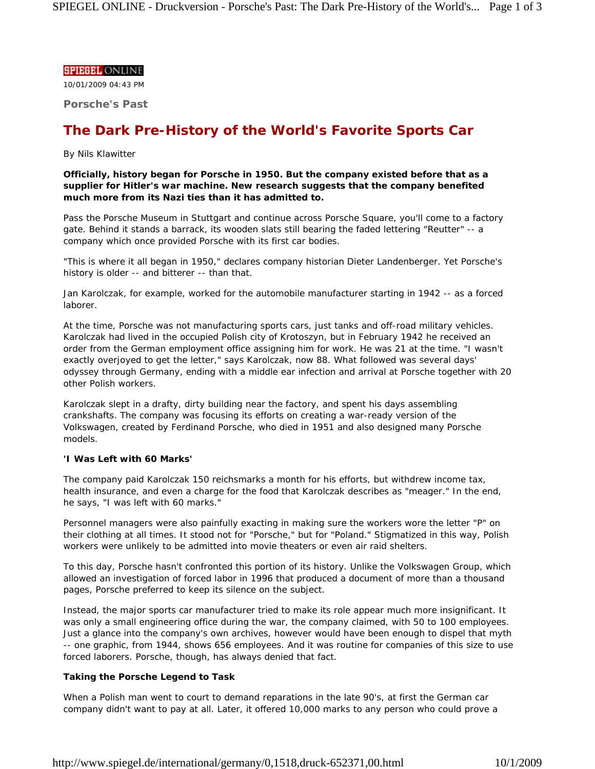# **SPIEGEL ONLINE**

10/01/2009 04:43 PM

**Porsche's Past**

# **The Dark Pre-History of the World's Favorite Sports Car**

# *By Nils Klawitter*

**Officially, history began for Porsche in 1950. But the company existed before that as a supplier for Hitler's war machine. New research suggests that the company benefited much more from its Nazi ties than it has admitted to.**

Pass the Porsche Museum in Stuttgart and continue across Porsche Square, you'll come to a factory gate. Behind it stands a barrack, its wooden slats still bearing the faded lettering "Reutter" -- a company which once provided Porsche with its first car bodies.

"This is where it all began in 1950," declares company historian Dieter Landenberger. Yet Porsche's history is older -- and bitterer -- than that.

Jan Karolczak, for example, worked for the automobile manufacturer starting in 1942 -- as a forced laborer.

At the time, Porsche was not manufacturing sports cars, just tanks and off-road military vehicles. Karolczak had lived in the occupied Polish city of Krotoszyn, but in February 1942 he received an order from the German employment office assigning him for work. He was 21 at the time. "I wasn't exactly overjoyed to get the letter," says Karolczak, now 88. What followed was several days' odyssey through Germany, ending with a middle ear infection and arrival at Porsche together with 20 other Polish workers.

Karolczak slept in a drafty, dirty building near the factory, and spent his days assembling crankshafts. The company was focusing its efforts on creating a war-ready version of the Volkswagen, created by Ferdinand Porsche, who died in 1951 and also designed many Porsche models.

# **'I Was Left with 60 Marks'**

The company paid Karolczak 150 reichsmarks a month for his efforts, but withdrew income tax, health insurance, and even a charge for the food that Karolczak describes as "meager." In the end, he says, "I was left with 60 marks."

Personnel managers were also painfully exacting in making sure the workers wore the letter "P" on their clothing at all times. It stood not for "Porsche," but for "Poland." Stigmatized in this way, Polish workers were unlikely to be admitted into movie theaters or even air raid shelters.

To this day, Porsche hasn't confronted this portion of its history. Unlike the Volkswagen Group, which allowed an investigation of forced labor in 1996 that produced a document of more than a thousand pages, Porsche preferred to keep its silence on the subject.

Instead, the major sports car manufacturer tried to make its role appear much more insignificant. It was only a small engineering office during the war, the company claimed, with 50 to 100 employees. Just a glance into the company's own archives, however would have been enough to dispel that myth -- one graphic, from 1944, shows 656 employees. And it was routine for companies of this size to use forced laborers. Porsche, though, has always denied that fact.

# **Taking the Porsche Legend to Task**

When a Polish man went to court to demand reparations in the late 90's, at first the German car company didn't want to pay at all. Later, it offered 10,000 marks to any person who could prove a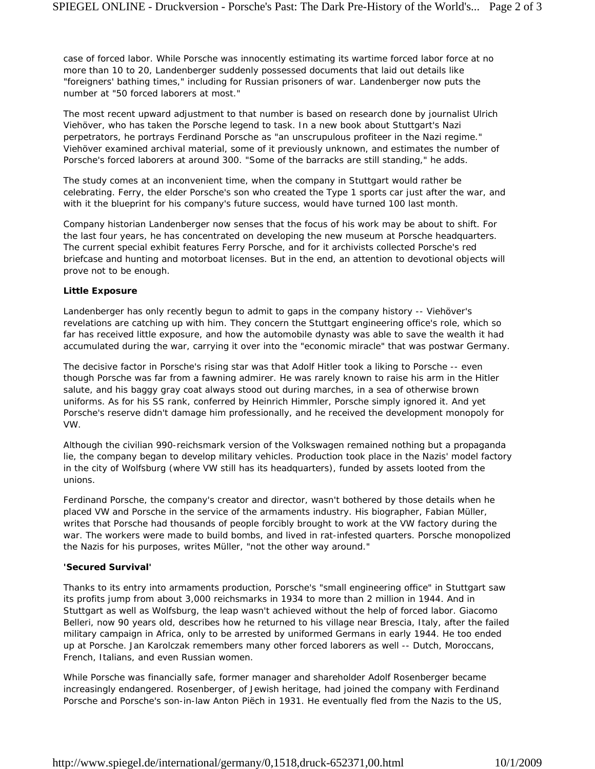case of forced labor. While Porsche was innocently estimating its wartime forced labor force at no more than 10 to 20, Landenberger suddenly possessed documents that laid out details like "foreigners' bathing times," including for Russian prisoners of war. Landenberger now puts the number at "50 forced laborers at most."

The most recent upward adjustment to that number is based on research done by journalist Ulrich Viehöver, who has taken the Porsche legend to task. In a new book about Stuttgart's Nazi perpetrators, he portrays Ferdinand Porsche as "an unscrupulous profiteer in the Nazi regime." Viehöver examined archival material, some of it previously unknown, and estimates the number of Porsche's forced laborers at around 300. "Some of the barracks are still standing," he adds.

The study comes at an inconvenient time, when the company in Stuttgart would rather be celebrating. Ferry, the elder Porsche's son who created the Type 1 sports car just after the war, and with it the blueprint for his company's future success, would have turned 100 last month.

Company historian Landenberger now senses that the focus of his work may be about to shift. For the last four years, he has concentrated on developing the new museum at Porsche headquarters. The current special exhibit features Ferry Porsche, and for it archivists collected Porsche's red briefcase and hunting and motorboat licenses. But in the end, an attention to devotional objects will prove not to be enough.

# **Little Exposure**

Landenberger has only recently begun to admit to gaps in the company history -- Viehöver's revelations are catching up with him. They concern the Stuttgart engineering office's role, which so far has received little exposure, and how the automobile dynasty was able to save the wealth it had accumulated during the war, carrying it over into the "economic miracle" that was postwar Germany.

The decisive factor in Porsche's rising star was that Adolf Hitler took a liking to Porsche -- even though Porsche was far from a fawning admirer. He was rarely known to raise his arm in the Hitler salute, and his baggy gray coat always stood out during marches, in a sea of otherwise brown uniforms. As for his SS rank, conferred by Heinrich Himmler, Porsche simply ignored it. And yet Porsche's reserve didn't damage him professionally, and he received the development monopoly for VW.

Although the civilian 990-reichsmark version of the Volkswagen remained nothing but a propaganda lie, the company began to develop military vehicles. Production took place in the Nazis' model factory in the city of Wolfsburg (where VW still has its headquarters), funded by assets looted from the unions.

Ferdinand Porsche, the company's creator and director, wasn't bothered by those details when he placed VW and Porsche in the service of the armaments industry. His biographer, Fabian Müller, writes that Porsche had thousands of people forcibly brought to work at the VW factory during the war. The workers were made to build bombs, and lived in rat-infested quarters. Porsche monopolized the Nazis for his purposes, writes Müller, "not the other way around."

#### **'Secured Survival'**

Thanks to its entry into armaments production, Porsche's "small engineering office" in Stuttgart saw its profits jump from about 3,000 reichsmarks in 1934 to more than 2 million in 1944. And in Stuttgart as well as Wolfsburg, the leap wasn't achieved without the help of forced labor. Giacomo Belleri, now 90 years old, describes how he returned to his village near Brescia, Italy, after the failed military campaign in Africa, only to be arrested by uniformed Germans in early 1944. He too ended up at Porsche. Jan Karolczak remembers many other forced laborers as well -- Dutch, Moroccans, French, Italians, and even Russian women.

While Porsche was financially safe, former manager and shareholder Adolf Rosenberger became increasingly endangered. Rosenberger, of Jewish heritage, had joined the company with Ferdinand Porsche and Porsche's son-in-law Anton Piëch in 1931. He eventually fled from the Nazis to the US,